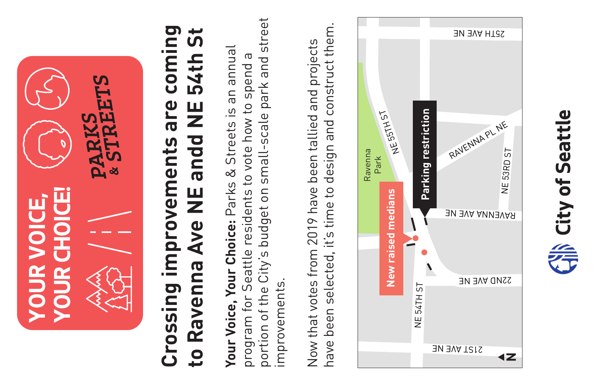

# **Crossing improvements are coming**  coming <u>ູ່</u> ທີ **to Ravenna Ave NE andd NE 54th St** 54th 9 Ave NE andd NE Crossing improvements are Ravenna  $\overline{\mathbf{c}}$

portion of the City's budget on small-scale park and street portion of the City's budget on small-scale park and street **Your Voice, Your Choice:** Parks & Streets is an annual Your Voice, Your Choice: Parks & Streets is an annual program for Seattle residents to vote how to spend a G program for Seattle residents to vote how to spend improvements. improvements

design and construct them. have been selected, it's time to design and construct them. Now that votes from 2019 have been tallied and projects Now that votes from 2019 have been tallied and projects have been selected, it's time to



NDS $\overline{ }$ 

VAR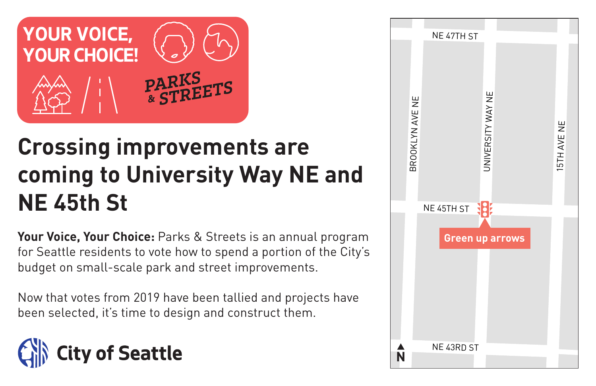![](_page_1_Picture_0.jpeg)

# **Crossing improvements are coming to University Way NE and NE 45th St**

**Your Voice, Your Choice:** Parks & Streets is an annual program for Seattle residents to vote how to spend a portion of the City's budget on small-scale park and street improvements.

Now that votes from 2019 have been tallied and projects have been selected, it's time to design and construct them.

![](_page_1_Picture_4.jpeg)

![](_page_1_Figure_5.jpeg)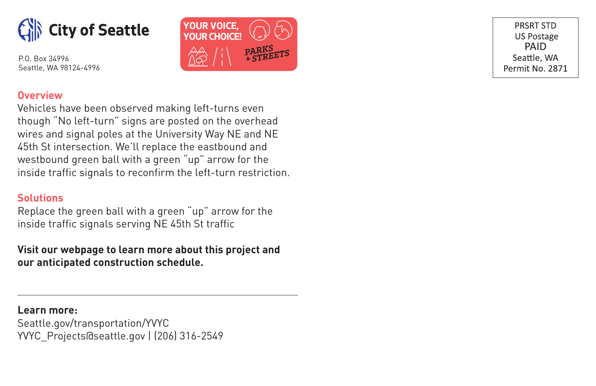![](_page_2_Picture_0.jpeg)

P.O. Box 34996 Seattle, WA 98124-4996

![](_page_2_Picture_2.jpeg)

PRSRT STD **US Postage PAID** Seattle, WA Permit No. 2871

### **Overview**

Vehicles have been observed making left-turns even though "No left-turn" signs are posted on the overhead wires and signal poles at the University Way NE and NE 45th St intersection. We'll replace the eastbound and westbound green ball with a green "up" arrow for the inside traffic signals to reconfirm the left-turn restriction.

## **Solutions**

Replace the green ball with a green "up" arrow for the inside traffic signals serving NE 45th St traffic

# **Visit our webpage to learn more about this project and our anticipated construction schedule.**

**Learn more:** Seattle.gov/transportation/YVYC YVYC\_Projects@seattle.gov | (206) 316-2549